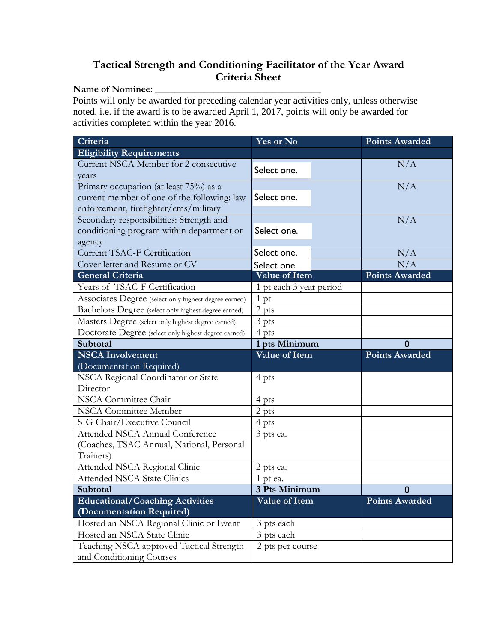## **Tactical Strength and Conditioning Facilitator of the Year Award Criteria Sheet**

## Name of Nominee:

Points will only be awarded for preceding calendar year activities only, unless otherwise noted. i.e. if the award is to be awarded April 1, 2017, points will only be awarded for activities completed within the year 2016.

| Criteria                                                                                                                       | Yes or No                |  | <b>Points Awarded</b> |
|--------------------------------------------------------------------------------------------------------------------------------|--------------------------|--|-----------------------|
| <b>Eligibility Requirements</b>                                                                                                |                          |  |                       |
| Current NSCA Member for 2 consecutive<br>years                                                                                 | Select one.              |  | N/A                   |
| Primary occupation (at least 75%) as a<br>current member of one of the following: law<br>enforcement, firefighter/ems/military | Select one.              |  | N/A                   |
| Secondary responsibilities: Strength and<br>conditioning program within department or<br>agency                                | Select one.              |  | N/A                   |
| Current TSAC-F Certification                                                                                                   | Select one.              |  | N/A                   |
| Cover letter and Resume or CV                                                                                                  | Select one.              |  | N/A                   |
| <b>General Criteria</b>                                                                                                        | Value of Item            |  | <b>Points Awarded</b> |
| Years of TSAC-F Certification                                                                                                  | 1 pt each 3 year period  |  |                       |
| Associates Degree (select only highest degree earned)                                                                          | 1 pt                     |  |                       |
| Bachelors Degree (select only highest degree earned)                                                                           | 2 pts                    |  |                       |
| Masters Degree (select only highest degree earned)                                                                             | 3 pts                    |  |                       |
| Doctorate Degree (select only highest degree earned)                                                                           | 4 pts                    |  |                       |
| Subtotal                                                                                                                       | 1 pts Minimum            |  | $\mathbf{0}$          |
| <b>NSCA Involvement</b>                                                                                                        | <b>Value of Item</b>     |  | <b>Points Awarded</b> |
| (Documentation Required)                                                                                                       |                          |  |                       |
| NSCA Regional Coordinator or State                                                                                             | 4 pts                    |  |                       |
| Director                                                                                                                       |                          |  |                       |
| NSCA Committee Chair                                                                                                           | 4 pts                    |  |                       |
| <b>NSCA Committee Member</b>                                                                                                   | 2 pts                    |  |                       |
|                                                                                                                                |                          |  |                       |
| SIG Chair/Executive Council                                                                                                    | 4 pts                    |  |                       |
| <b>Attended NSCA Annual Conference</b>                                                                                         | 3 pts ea.                |  |                       |
| (Coaches, TSAC Annual, National, Personal<br>Trainers)                                                                         |                          |  |                       |
| Attended NSCA Regional Clinic                                                                                                  | 2 pts ea.                |  |                       |
| <b>Attended NSCA State Clinics</b>                                                                                             | 1 pt ea.                 |  |                       |
| Subtotal                                                                                                                       | 3 Pts Minimum            |  | $\mathbf 0$           |
| <b>Educational/Coaching Activities</b>                                                                                         | Value of Item            |  | <b>Points Awarded</b> |
| (Documentation Required)                                                                                                       |                          |  |                       |
| Hosted an NSCA Regional Clinic or Event<br>Hosted an NSCA State Clinic                                                         | 3 pts each<br>3 pts each |  |                       |